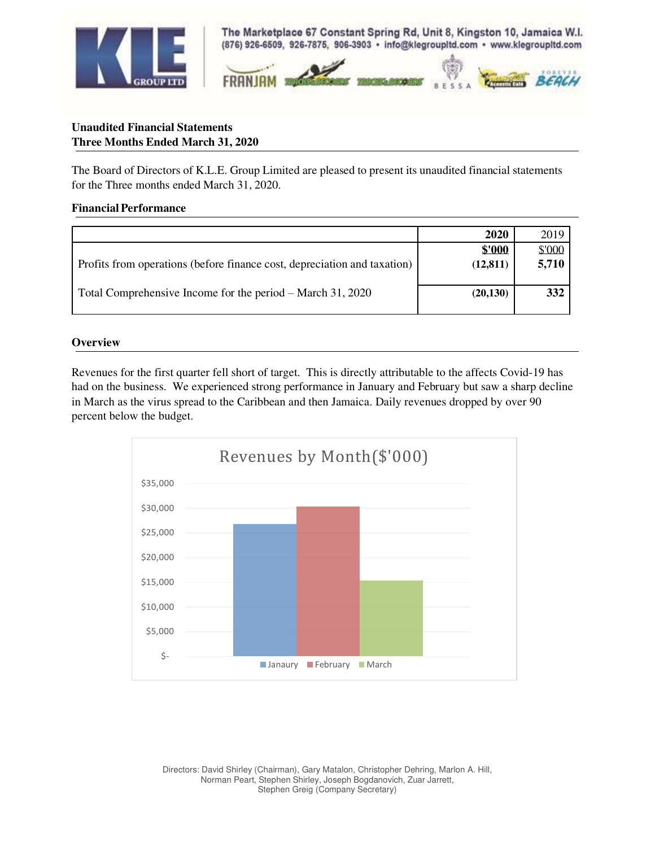

The Marketplace 67 Constant Spring Rd, Unit 8, Kingston 10, Jamaica W.I. (876) 926-6509, 926-7875, 906-3903 · info@klegroupItd.com · www.klegroupItd.com



# **Unaudited Financial Statements Three Months Ended March 31, 2020**

The Board of Directors of K.L.E. Group Limited are pleased to present its unaudited financial statements for the Three months ended March 31, 2020.

### **Financial Performance**

|                                                                          | 2020      | 2019   |
|--------------------------------------------------------------------------|-----------|--------|
|                                                                          | \$'000    | \$'000 |
| Profits from operations (before finance cost, depreciation and taxation) | (12, 811) | 5,710  |
|                                                                          |           |        |
| Total Comprehensive Income for the period – March 31, 2020               | (20, 130) | 332    |
|                                                                          |           |        |

### **Overview**

Revenues for the first quarter fell short of target. This is directly attributable to the affects Covid-19 has had on the business. We experienced strong performance in January and February but saw a sharp decline in March as the virus spread to the Caribbean and then Jamaica. Daily revenues dropped by over 90 percent below the budget.

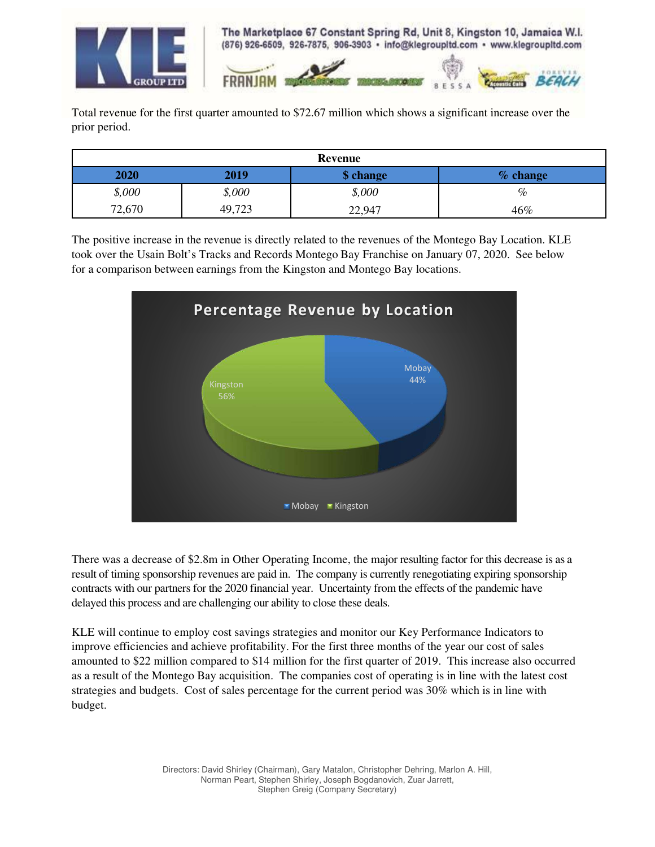

The Marketplace 67 Constant Spring Rd, Unit 8, Kingston 10, Jamaica W.I. (876) 926-6509, 926-7875, 906-3903 · info@klegroupitd.com · www.klegroupitd.com



Total revenue for the first quarter amounted to \$72.67 million which shows a significant increase over the prior period.

| Revenue |        |           |            |  |
|---------|--------|-----------|------------|--|
| 2020    | 2019   | \$ change | $%$ change |  |
| \$,000  | \$,000 | \$,000    | $\%$       |  |
| 72,670  | 49,723 | 22,947    | 46%        |  |

The positive increase in the revenue is directly related to the revenues of the Montego Bay Location. KLE took over the Usain Bolt's Tracks and Records Montego Bay Franchise on January 07, 2020. See below for a comparison between earnings from the Kingston and Montego Bay locations.



There was a decrease of \$2.8m in Other Operating Income, the major resulting factor for this decrease is as a result of timing sponsorship revenues are paid in. The company is currently renegotiating expiring sponsorship contracts with our partners for the 2020 financial year. Uncertainty from the effects of the pandemic have delayed this process and are challenging our ability to close these deals.

KLE will continue to employ cost savings strategies and monitor our Key Performance Indicators to improve efficiencies and achieve profitability. For the first three months of the year our cost of sales amounted to \$22 million compared to \$14 million for the first quarter of 2019. This increase also occurred as a result of the Montego Bay acquisition. The companies cost of operating is in line with the latest cost strategies and budgets. Cost of sales percentage for the current period was 30% which is in line with budget.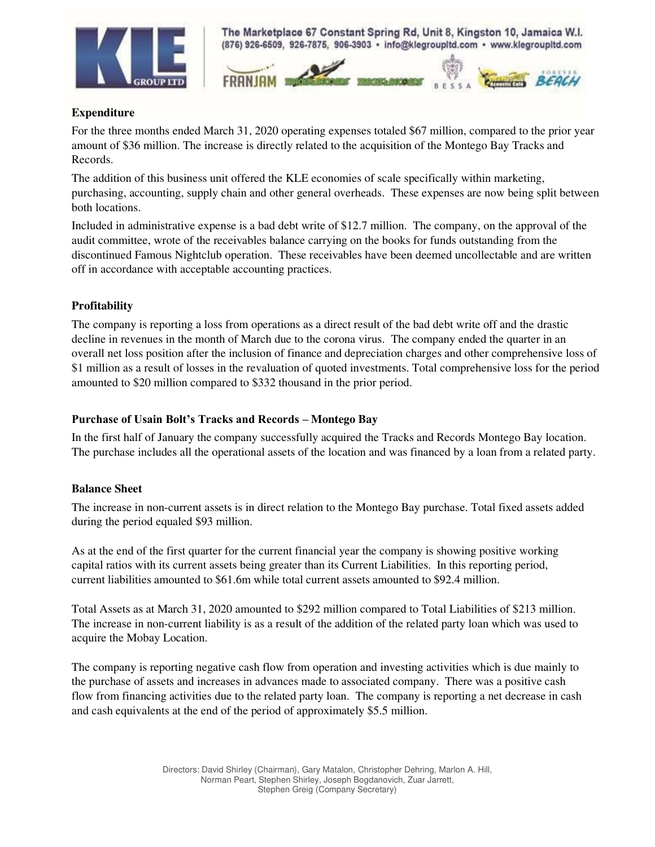

The Marketplace 67 Constant Spring Rd, Unit 8, Kingston 10, Jamaica W.I. (876) 926-6509, 926-7875, 906-3903 · info@klegroupitd.com · www.klegroupitd.com



### **Expenditure**

For the three months ended March 31, 2020 operating expenses totaled \$67 million, compared to the prior year amount of \$36 million. The increase is directly related to the acquisition of the Montego Bay Tracks and Records.

The addition of this business unit offered the KLE economies of scale specifically within marketing, purchasing, accounting, supply chain and other general overheads. These expenses are now being split between both locations.

Included in administrative expense is a bad debt write of \$12.7 million. The company, on the approval of the audit committee, wrote of the receivables balance carrying on the books for funds outstanding from the discontinued Famous Nightclub operation. These receivables have been deemed uncollectable and are written off in accordance with acceptable accounting practices.

## **Profitability**

The company is reporting a loss from operations as a direct result of the bad debt write off and the drastic decline in revenues in the month of March due to the corona virus. The company ended the quarter in an overall net loss position after the inclusion of finance and depreciation charges and other comprehensive loss of \$1 million as a result of losses in the revaluation of quoted investments. Total comprehensive loss for the period amounted to \$20 million compared to \$332 thousand in the prior period.

### **Purchase of Usain Bolt's Tracks and Records – Montego Bay**

In the first half of January the company successfully acquired the Tracks and Records Montego Bay location. The purchase includes all the operational assets of the location and was financed by a loan from a related party.

### **Balance Sheet**

The increase in non-current assets is in direct relation to the Montego Bay purchase. Total fixed assets added during the period equaled \$93 million.

As at the end of the first quarter for the current financial year the company is showing positive working capital ratios with its current assets being greater than its Current Liabilities. In this reporting period, current liabilities amounted to \$61.6m while total current assets amounted to \$92.4 million.

Total Assets as at March 31, 2020 amounted to \$292 million compared to Total Liabilities of \$213 million. The increase in non-current liability is as a result of the addition of the related party loan which was used to acquire the Mobay Location.

The company is reporting negative cash flow from operation and investing activities which is due mainly to the purchase of assets and increases in advances made to associated company. There was a positive cash flow from financing activities due to the related party loan. The company is reporting a net decrease in cash and cash equivalents at the end of the period of approximately \$5.5 million.